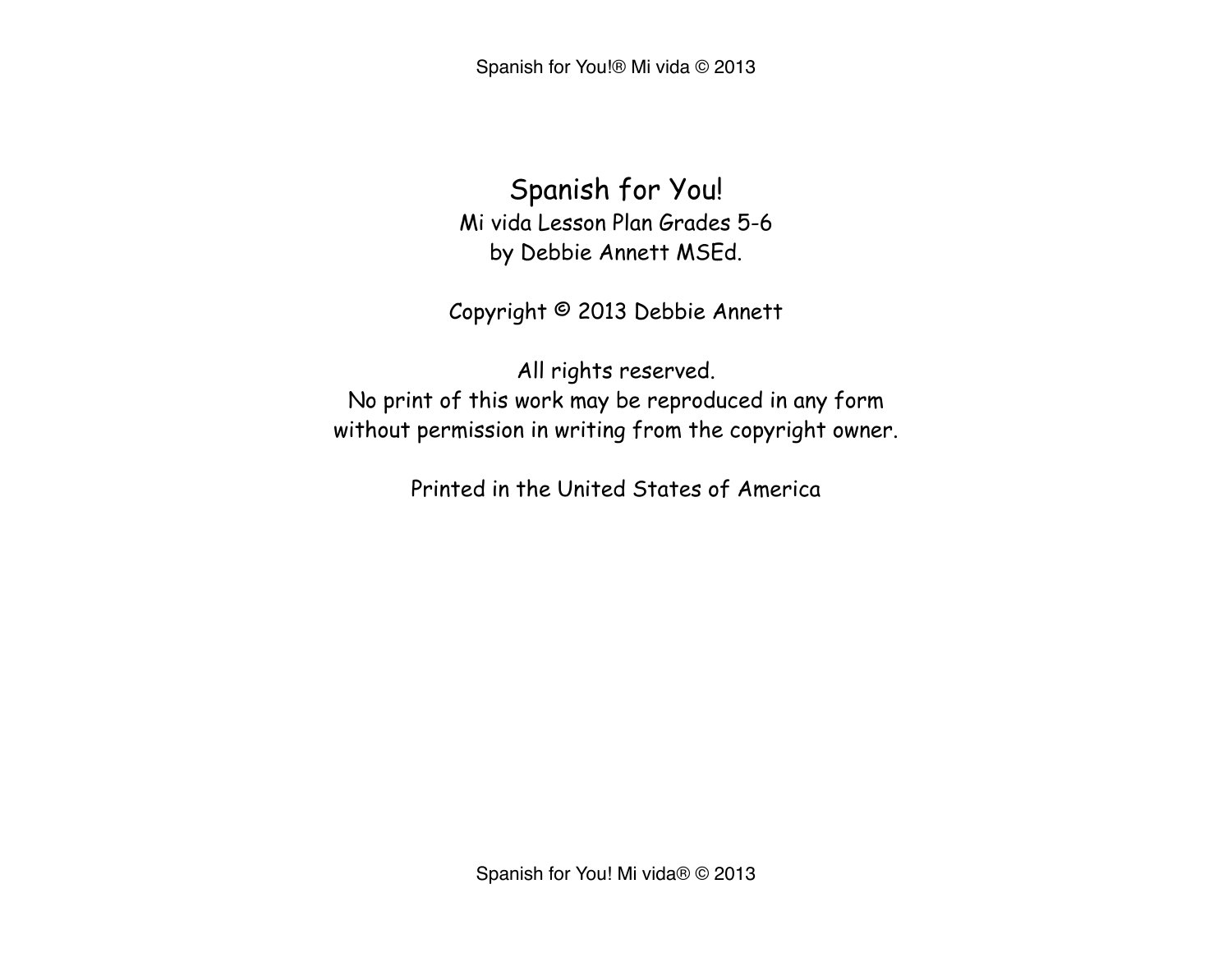Spanish for You!® Mi vida © 2013

Spanish for You! Mi vida Lesson Plan Grades 5-6 by Debbie Annett MSEd.

Copyright © 2013 Debbie Annett

All rights reserved. No print of this work may be reproduced in any form without permission in writing from the copyright owner.

Printed in the United States of America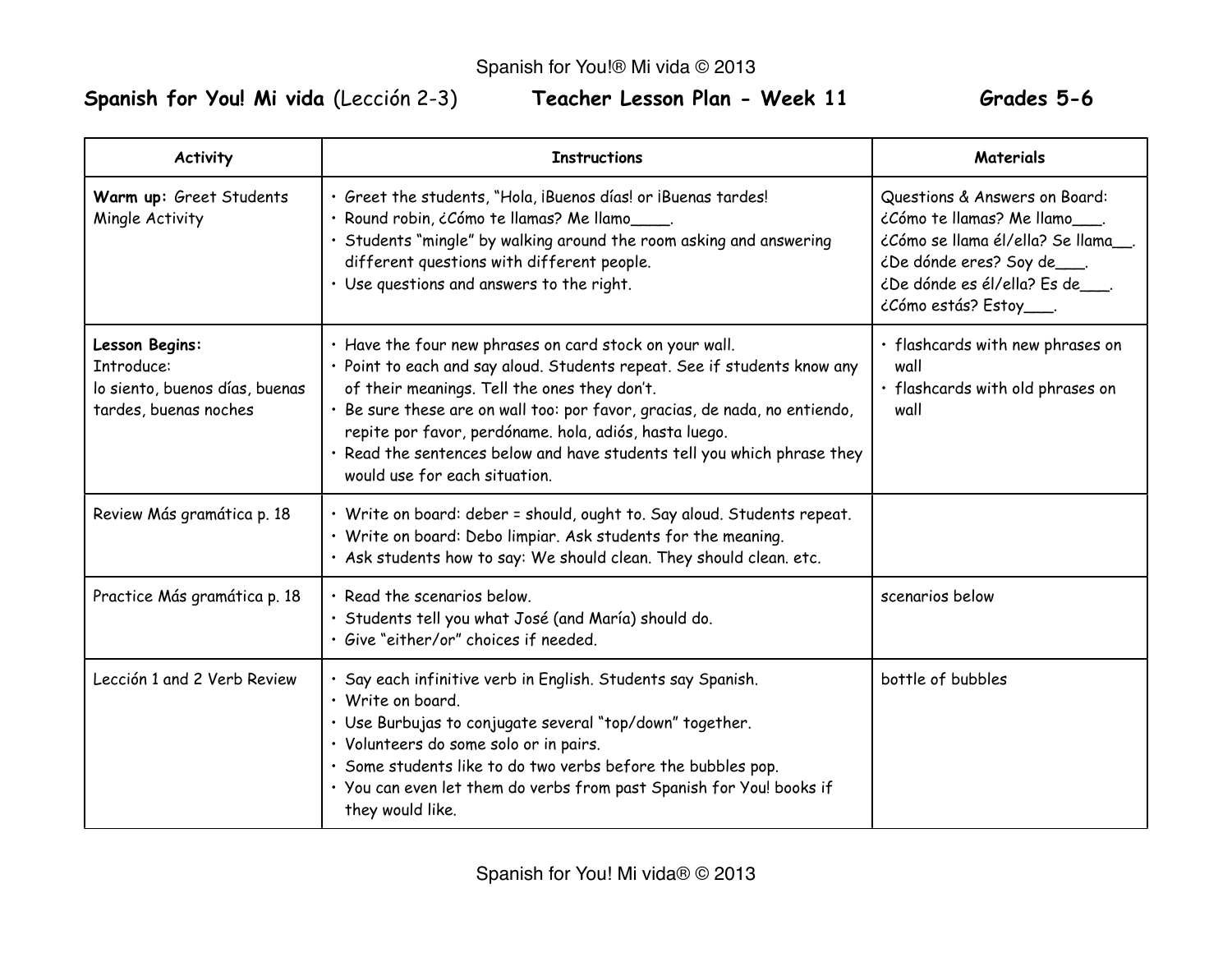# Spanish for You! Mi vida (Lección 2-3) **Teacher Lesson Plan - Week 11 Grades 5-6**

| <b>Activity</b>                                                                         | <b>Instructions</b>                                                                                                                                                                                                                                                                                                                                                                                                                     | <b>Materials</b>                                                                                                                                                                                |
|-----------------------------------------------------------------------------------------|-----------------------------------------------------------------------------------------------------------------------------------------------------------------------------------------------------------------------------------------------------------------------------------------------------------------------------------------------------------------------------------------------------------------------------------------|-------------------------------------------------------------------------------------------------------------------------------------------------------------------------------------------------|
| Warm up: Greet Students<br>Mingle Activity                                              | · Greet the students, "Hola, iBuenos días! or iBuenas tardes!<br>· Round robin, ¿Cómo te llamas? Me llamo<br>Students "mingle" by walking around the room asking and answering<br>different questions with different people.<br>· Use questions and answers to the right.                                                                                                                                                               | Questions & Answers on Board:<br>¿Cómo te llamas? Me llamo<br>¿Cómo se llama él/ella? Se llama<br><i>i</i> De dónde eres? Soy de___.<br>¿De dónde es él/ella? Es de .<br>¿Cómo estás? Estoy___. |
| Lesson Begins:<br>Introduce:<br>lo siento, buenos días, buenas<br>tardes, buenas noches | . Have the four new phrases on card stock on your wall.<br>· Point to each and say aloud. Students repeat. See if students know any<br>of their meanings. Tell the ones they don't.<br>· Be sure these are on wall too: por favor, gracias, de nada, no entiendo,<br>repite por favor, perdóname. hola, adiós, hasta luego.<br>· Read the sentences below and have students tell you which phrase they<br>would use for each situation. | · flashcards with new phrases on<br>wall<br>· flashcards with old phrases on<br>wall                                                                                                            |
| Review Más gramática p. 18                                                              | · Write on board: deber = should, ought to. Say aloud. Students repeat.<br>. Write on board: Debo limpiar. Ask students for the meaning.<br>· Ask students how to say: We should clean. They should clean. etc.                                                                                                                                                                                                                         |                                                                                                                                                                                                 |
| Practice Más gramática p. 18                                                            | · Read the scenarios below.<br>· Students tell you what José (and María) should do.<br>· Give "either/or" choices if needed.                                                                                                                                                                                                                                                                                                            | scenarios below                                                                                                                                                                                 |
| Lección 1 and 2 Verb Review                                                             | · Say each infinitive verb in English. Students say Spanish.<br>· Write on board.<br>· Use Burbujas to conjugate several "top/down" together.<br>· Volunteers do some solo or in pairs.<br>· Some students like to do two verbs before the bubbles pop.<br>· You can even let them do verbs from past Spanish for You! books if<br>they would like.                                                                                     | bottle of bubbles                                                                                                                                                                               |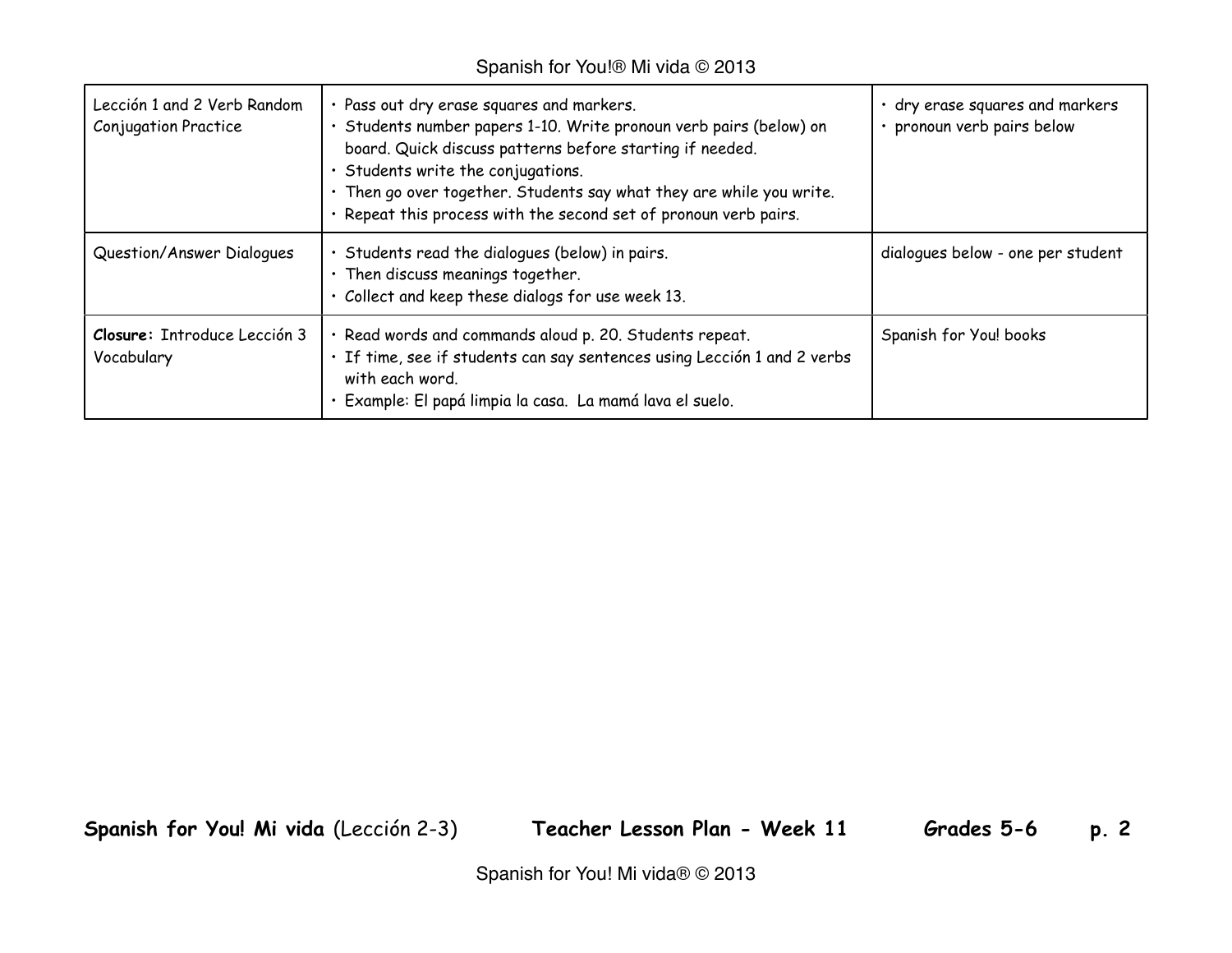#### Spanish for You!® Mi vida © 2013

| Lección 1 and 2 Verb Random<br><b>Conjugation Practice</b> | · Pass out dry erase squares and markers.<br>· Students number papers 1-10. Write pronoun verb pairs (below) on<br>board. Quick discuss patterns before starting if needed.<br>· Students write the conjugations.<br>· Then go over together. Students say what they are while you write.<br>· Repeat this process with the second set of pronoun verb pairs. | · dry erase squares and markers<br>· pronoun verb pairs below |
|------------------------------------------------------------|---------------------------------------------------------------------------------------------------------------------------------------------------------------------------------------------------------------------------------------------------------------------------------------------------------------------------------------------------------------|---------------------------------------------------------------|
| Question/Answer Dialogues                                  | Students read the dialogues (below) in pairs.<br>· Then discuss meanings together.<br>· Collect and keep these dialogs for use week 13.                                                                                                                                                                                                                       | dialogues below - one per student                             |
| Closure: Introduce Lección 3<br>Vocabulary                 | · Read words and commands aloud p. 20. Students repeat.<br>· If time, see if students can say sentences using Lección 1 and 2 verbs<br>with each word.<br>Example: El papá limpia la casa. La mamá lava el suelo.                                                                                                                                             | Spanish for You! books                                        |

**Spanish for You! Mi vida** (Lección 2-3) **Teacher Lesson Plan - Week 11 Grades 5-6 p. 2**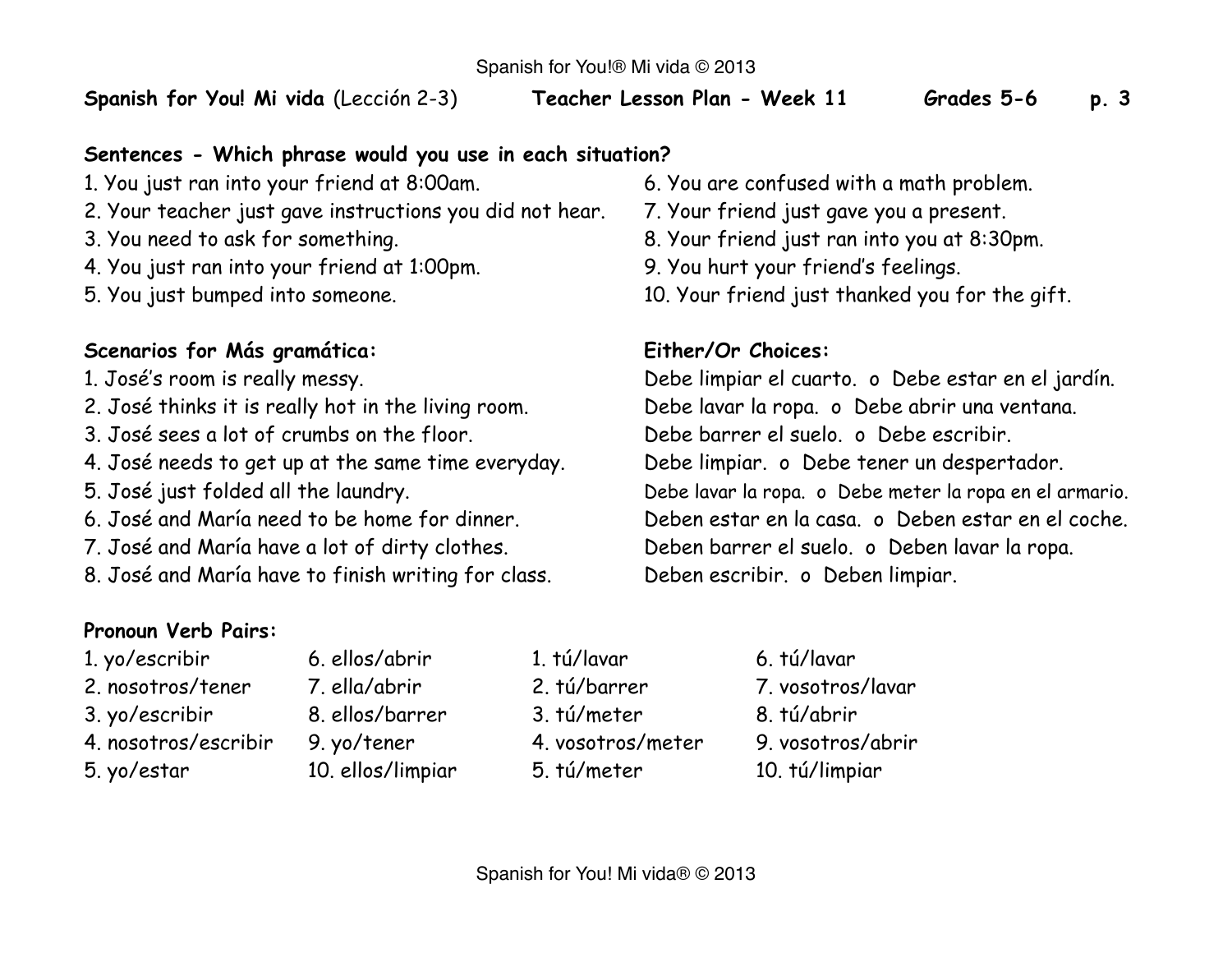**Spanish for You! Mi vida** (Lección 2-3) **Teacher Lesson Plan - Week 11 Grades 5-6 p. 3**

### **Sentences - Which phrase would you use in each situation?**

- 1. You just ran into your friend at 8:00am. 6. You are confused with a math problem.
- 2. Your teacher just gave instructions you did not hear. 7. Your friend just gave you a present.
- 
- 4. You just ran into your friend at 1:00pm. 9. You hurt your friend's feelings.
- 

## **Scenarios for Más gramática: Either/Or Choices:**

- 
- 2. José thinks it is really hot in the living room. Debe lavar la ropa. o Debe abrir una ventana.
- 3. José sees a lot of crumbs on the floor. Debe barrer el suelo. o Debe escribir.
- 4. José needs to get up at the same time everyday. Debe limpiar. o Debe tener un despertador.
- 
- 
- 
- 8. José and María have to finish writing for class. Deben escribir. o Deben limpiar.

# **Pronoun Verb Pairs:**

- 1. yo/escribir 6. ellos/abrir 1. tú/lavar 6. tú/lavar
- 
- 
- 4. nosotros/escribir 9. yo/tener 4. vosotros/meter 9. vosotros/abrir
- 
- 
- 3. yo/escribir 8. ellos/barrer 3. tú/meter 8. tú/abrir
- 5. yo/estar 10. ellos/limpiar 5. tú/meter 10. tú/limpiar
- 
- 
- 3. You need to ask for something. 8. Your friend just ran into you at 8:30pm.
	-
- 5. You just bumped into someone. 10. Your friend just thanked you for the gift.

1. José's room is really messy. Debe limpiar el cuarto. o Debe estar en el jardín. 5. José just folded all the laundry. Debe lavar la ropa. o Debe meter la ropa en el armario. 6. José and María need to be home for dinner. Deben estar en la casa. o Deben estar en el coche. 7. José and María have a lot of dirty clothes. Deben barrer el suelo. o Deben lavar la ropa.

- 
- 
- 
- 
- 
- 
- 2. nosotros/tener 7. ella/abrir 2. tú/barrer 7. vosotros/lavar
	-
	-
	-